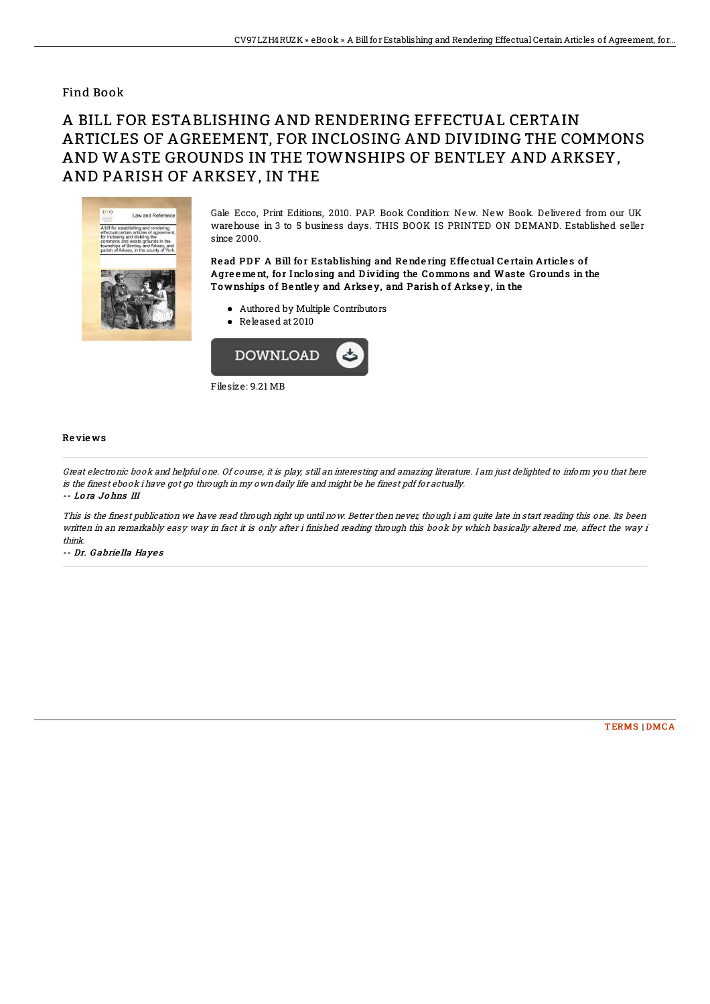### Find Book

# A BILL FOR ESTABLISHING AND RENDERING EFFECTUAL CERTAIN ARTICLES OF AGREEMENT. FOR INCLOSING AND DIVIDING THE COMMONS AND WASTE GROUNDS IN THE TOWNSHIPS OF BENTLEY AND ARKSEY, AND PARISH OF ARKSEY, IN THE



Gale Ecco, Print Editions, 2010. PAP. Book Condition: New. New Book. Delivered from our UK warehouse in 3 to 5 business days. THIS BOOK IS PRINTED ON DEMAND. Established seller since 2000.

#### Read PDF A Bill for Establishing and Rendering Effectual Certain Articles of Agreement, for Inclosing and Dividing the Commons and Waste Grounds in the Townships of Bentley and Arksey, and Parish of Arksey, in the

- Authored by Multiple Contributors
- Released at 2010



#### **Reviews**

Great electronic book and helpful one. Of course, it is play, still an interesting and amazing literature. I am just delighted to inform you that here is the finest ebook i have got go through in my own daily life and might be he finest pdf for actually. -- Lora Johns III

This is the finest publication we have read through right up until now. Better then never, though i am quite late in start reading this one. Its been written in an remarkably easy way in fact it is only after i finished reading through this book by which basically altered me, affect the way i  $think$ 

-- Dr. Gabriella Hayes